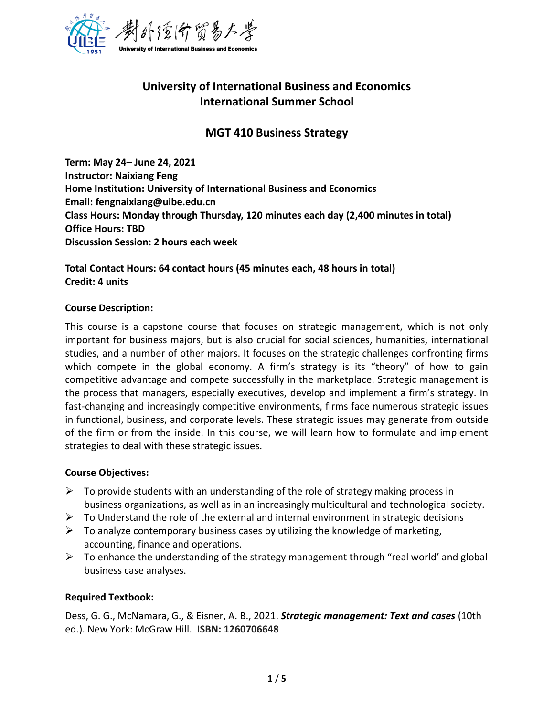

# **University of International Business and Economics International Summer School**

## **MGT 410 Business Strategy**

**Term: May 24– June 24, 2021 Instructor: Naixiang Feng Home Institution: University of International Business and Economics Email: fengnaixiang@uibe.edu.cn Class Hours: Monday through Thursday, 120 minutes each day (2,400 minutes in total) Office Hours: TBD Discussion Session: 2 hours each week** 

**Total Contact Hours: 64 contact hours (45 minutes each, 48 hours in total) Credit: 4 units**

#### **Course Description:**

This course is a capstone course that focuses on strategic management, which is not only important for business majors, but is also crucial for social sciences, humanities, international studies, and a number of other majors. It focuses on the strategic challenges confronting firms which compete in the global economy. A firm's strategy is its "theory" of how to gain competitive advantage and compete successfully in the marketplace. Strategic management is the process that managers, especially executives, develop and implement a firm's strategy. In fast-changing and increasingly competitive environments, firms face numerous strategic issues in functional, business, and corporate levels. These strategic issues may generate from outside of the firm or from the inside. In this course, we will learn how to formulate and implement strategies to deal with these strategic issues.

#### **Course Objectives:**

- $\triangleright$  To provide students with an understanding of the role of strategy making process in business organizations, as well as in an increasingly multicultural and technological society.
- $\triangleright$  To Understand the role of the external and internal environment in strategic decisions
- $\triangleright$  To analyze contemporary business cases by utilizing the knowledge of marketing, accounting, finance and operations.
- $\triangleright$  To enhance the understanding of the strategy management through "real world' and global business case analyses.

#### **Required Textbook:**

Dess, G. G., McNamara, G., & Eisner, A. B., 2021. *Strategic management: Text and cases* (10th ed.). New York: McGraw Hill. **ISBN: 1260706648**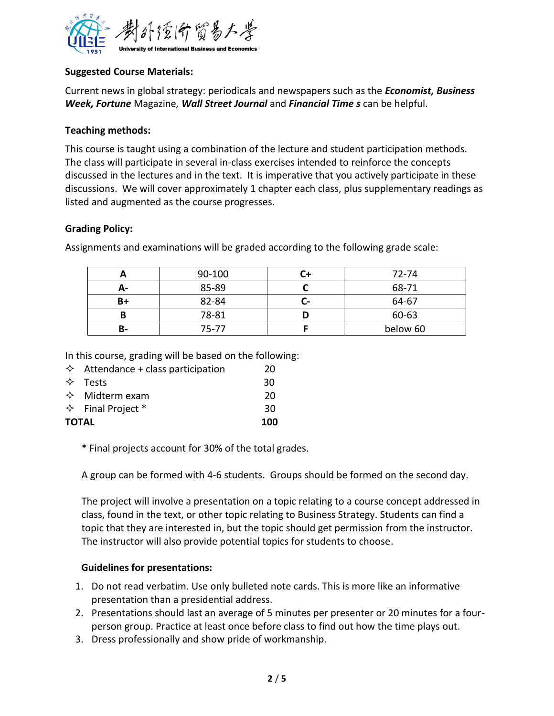

## **Suggested Course Materials:**

Current news in global strategy: periodicals and newspapers such as the *Economist, Business Week, Fortune* Magazine*, Wall Street Journal* and *Financial Time s* can be helpful.

#### **Teaching methods:**

This course is taught using a combination of the lecture and student participation methods. The class will participate in several in-class exercises intended to reinforce the concepts discussed in the lectures and in the text. It is imperative that you actively participate in these discussions. We will cover approximately 1 chapter each class, plus supplementary readings as listed and augmented as the course progresses.

## **Grading Policy:**

Assignments and examinations will be graded according to the following grade scale:

|    | 90-100 |             | 72-74    |
|----|--------|-------------|----------|
| А- | 85-89  |             | 68-71    |
| B+ | 82-84  | <u>. – </u> | 64-67    |
| B  | 78-81  |             | 60-63    |
| в- | 75-77  |             | below 60 |

In this course, grading will be based on the following:

| $\Diamond$ Attendance + class participation | 20  |
|---------------------------------------------|-----|
| $\Leftrightarrow$ Tests                     | 30  |
| $\Leftrightarrow$ Midterm exam              | -20 |
| $\Diamond$ Final Project *                  | 30  |
| TOTAL                                       | 100 |
|                                             |     |

\* Final projects account for 30% of the total grades.

A group can be formed with 4-6 students. Groups should be formed on the second day.

The project will involve a presentation on a topic relating to a course concept addressed in class, found in the text, or other topic relating to Business Strategy. Students can find a topic that they are interested in, but the topic should get permission from the instructor. The instructor will also provide potential topics for students to choose.

#### **Guidelines for presentations:**

- 1. Do not read verbatim. Use only bulleted note cards. This is more like an informative presentation than a presidential address.
- 2. Presentations should last an average of 5 minutes per presenter or 20 minutes for a fourperson group. Practice at least once before class to find out how the time plays out.
- 3. Dress professionally and show pride of workmanship.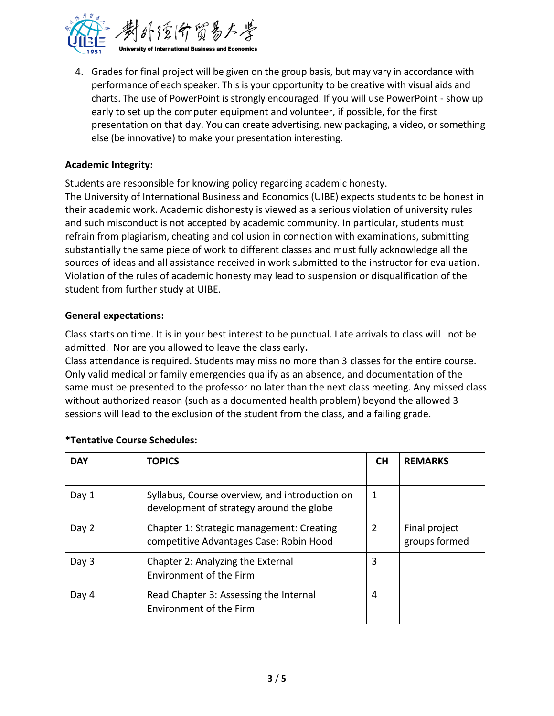

4. Grades for final project will be given on the group basis, but may vary in accordance with performance of each speaker. This is your opportunity to be creative with visual aids and charts. The use of PowerPoint is strongly encouraged. If you will use PowerPoint - show up early to set up the computer equipment and volunteer, if possible, for the first presentation on that day. You can create advertising, new packaging, a video, or something else (be innovative) to make your presentation interesting.

## **Academic Integrity:**

Students are responsible for knowing policy regarding academic honesty.

The University of International Business and Economics (UIBE) expects students to be honest in their academic work. Academic dishonesty is viewed as a serious violation of university rules and such misconduct is not accepted by academic community. In particular, students must refrain from plagiarism, cheating and collusion in connection with examinations, submitting substantially the same piece of work to different classes and must fully acknowledge all the sources of ideas and all assistance received in work submitted to the instructor for evaluation. Violation of the rules of academic honesty may lead to suspension or disqualification of the student from further study at UIBE.

#### **General expectations:**

Class starts on time. It is in your best interest to be punctual. Late arrivals to class will not be admitted. Nor are you allowed to leave the class early**.** 

Class attendance is required. Students may miss no more than 3 classes for the entire course. Only valid medical or family emergencies qualify as an absence, and documentation of the same must be presented to the professor no later than the next class meeting. Any missed class without authorized reason (such as a documented health problem) beyond the allowed 3 sessions will lead to the exclusion of the student from the class, and a failing grade.

| <b>DAY</b> | <b>TOPICS</b>                                                                              | <b>CH</b> | <b>REMARKS</b>                 |
|------------|--------------------------------------------------------------------------------------------|-----------|--------------------------------|
| Day 1      | Syllabus, Course overview, and introduction on<br>development of strategy around the globe | 1         |                                |
| Day 2      | Chapter 1: Strategic management: Creating<br>competitive Advantages Case: Robin Hood       | 2         | Final project<br>groups formed |
| Day 3      | Chapter 2: Analyzing the External<br>Environment of the Firm                               | 3         |                                |
| Day 4      | Read Chapter 3: Assessing the Internal<br><b>Environment of the Firm</b>                   | 4         |                                |

## **\*Tentative Course Schedules:**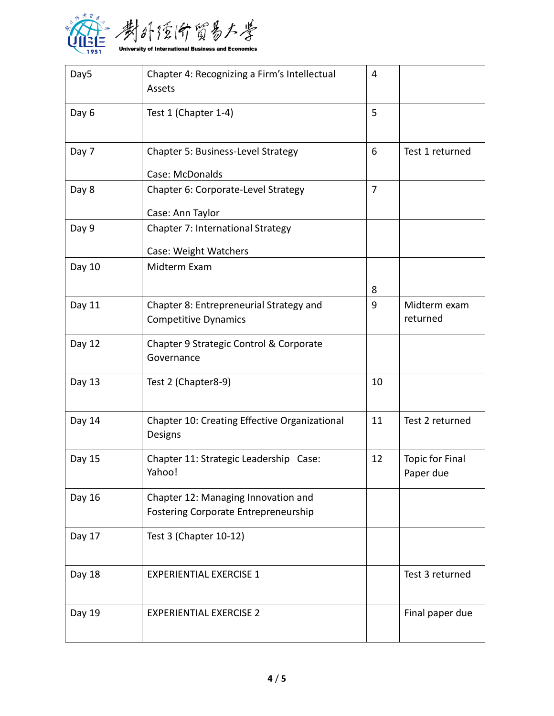

| Day5   | Chapter 4: Recognizing a Firm's Intellectual<br>Assets                             | 4              |                                     |
|--------|------------------------------------------------------------------------------------|----------------|-------------------------------------|
| Day 6  | Test 1 (Chapter 1-4)                                                               | 5              |                                     |
| Day 7  | Chapter 5: Business-Level Strategy                                                 | 6              | Test 1 returned                     |
|        | Case: McDonalds                                                                    |                |                                     |
| Day 8  | Chapter 6: Corporate-Level Strategy<br>Case: Ann Taylor                            | $\overline{7}$ |                                     |
|        |                                                                                    |                |                                     |
| Day 9  | Chapter 7: International Strategy                                                  |                |                                     |
|        | Case: Weight Watchers                                                              |                |                                     |
| Day 10 | Midterm Exam                                                                       |                |                                     |
|        |                                                                                    | 8              |                                     |
| Day 11 | Chapter 8: Entrepreneurial Strategy and<br><b>Competitive Dynamics</b>             | 9              | Midterm exam<br>returned            |
| Day 12 | Chapter 9 Strategic Control & Corporate<br>Governance                              |                |                                     |
| Day 13 | Test 2 (Chapter8-9)                                                                | 10             |                                     |
| Day 14 | Chapter 10: Creating Effective Organizational<br>Designs                           | 11             | Test 2 returned                     |
| Day 15 | Chapter 11: Strategic Leadership Case:<br>Yahoo!                                   | 12             | <b>Topic for Final</b><br>Paper due |
| Day 16 | Chapter 12: Managing Innovation and<br><b>Fostering Corporate Entrepreneurship</b> |                |                                     |
| Day 17 | Test 3 (Chapter 10-12)                                                             |                |                                     |
| Day 18 | <b>EXPERIENTIAL EXERCISE 1</b>                                                     |                | Test 3 returned                     |
| Day 19 | <b>EXPERIENTIAL EXERCISE 2</b>                                                     |                | Final paper due                     |